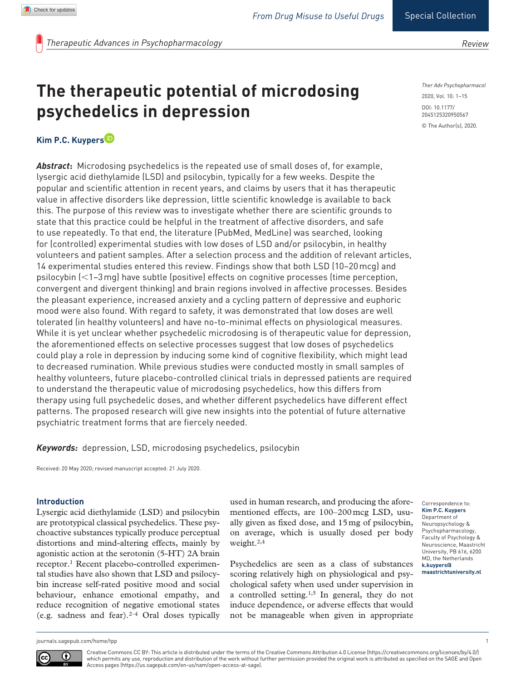*Therapeutic Advances in Psychopharmacology*

# **The therapeutic potential of microdosing psychedelics in depression**

DOI: 10.1177/ 2045125320950567 *Ther Adv Psychopharmacol* 2020, Vol. 10: 1–15 © The Author(s), 2020.

# **Kim P.C. Kuypers**

*Abstract***:** Microdosing psychedelics is the repeated use of small doses of, for example, lysergic acid diethylamide (LSD) and psilocybin, typically for a few weeks. Despite the popular and scientific attention in recent years, and claims by users that it has therapeutic value in affective disorders like depression, little scientific knowledge is available to back this. The purpose of this review was to investigate whether there are scientific grounds to state that this practice could be helpful in the treatment of affective disorders, and safe to use repeatedly. To that end, the literature (PubMed, MedLine) was searched, looking for (controlled) experimental studies with low doses of LSD and/or psilocybin, in healthy volunteers and patient samples. After a selection process and the addition of relevant articles, 14 experimental studies entered this review. Findings show that both LSD (10–20mcg) and psilocybin (<1–3mg) have subtle (positive) effects on cognitive processes (time perception, convergent and divergent thinking) and brain regions involved in affective processes. Besides the pleasant experience, increased anxiety and a cycling pattern of depressive and euphoric mood were also found. With regard to safety, it was demonstrated that low doses are well tolerated (in healthy volunteers) and have no-to-minimal effects on physiological measures. While it is yet unclear whether psychedelic microdosing is of therapeutic value for depression, the aforementioned effects on selective processes suggest that low doses of psychedelics could play a role in depression by inducing some kind of cognitive flexibility, which might lead to decreased rumination. While previous studies were conducted mostly in small samples of healthy volunteers, future placebo-controlled clinical trials in depressed patients are required to understand the therapeutic value of microdosing psychedelics, how this differs from therapy using full psychedelic doses, and whether different psychedelics have different effect patterns. The proposed research will give new insights into the potential of future alternative psychiatric treatment forms that are fiercely needed.

*Keywords:* depression, LSD, microdosing psychedelics, psilocybin

Received: 20 May 2020; revised manuscript accepted: 21 July 2020.

# **Introduction**

Lysergic acid diethylamide (LSD) and psilocybin are prototypical classical psychedelics. These psychoactive substances typically produce perceptual distortions and mind-altering effects, mainly by agonistic action at the serotonin (5-HT) 2A brain receptor.1 Recent placebo-controlled experimental studies have also shown that LSD and psilocybin increase self-rated positive mood and social behaviour, enhance emotional empathy, and reduce recognition of negative emotional states (e.g. sadness and fear). $2-4$  Oral doses typically

used in human research, and producing the aforementioned effects, are 100–200mcg LSD, usually given as fixed dose, and 15mg of psilocybin, on average, which is usually dosed per body weight.2,4

Psychedelics are seen as a class of substances scoring relatively high on physiological and psychological safety when used under supervision in a controlled setting.1,5 In general, they do not induce dependence, or adverse effects that would not be manageable when given in appropriate

Correspondence to: **Kim P.C. Kuypers** Department of Neuropsychology & Psychopharmacology, Faculty of Psychology & Neuroscience, Maastricht University, PB 616, 6200 MD, the Netherlands **[k.kuypers@](mailto:k.kuypers@maastrichtuniversity.nl) [maastrichtuniversity.nl](mailto:k.kuypers@maastrichtuniversity.nl)**

[journals.sagepub.com/home/tpp](https://journals.sagepub.com/home/tpp) 1



Creative Commons CC BY: This article is distributed under the terms of the Creative Commons Attribution 4.0 License (https://creativecommons.org/licenses/by/4.0/) which permits any use, reproduction and distribution of the work without further permission provided the original work is attributed as specified on the SAGE and Open Access pages (https://us.sagepub.com/en-us/nam/open-access-at-sage).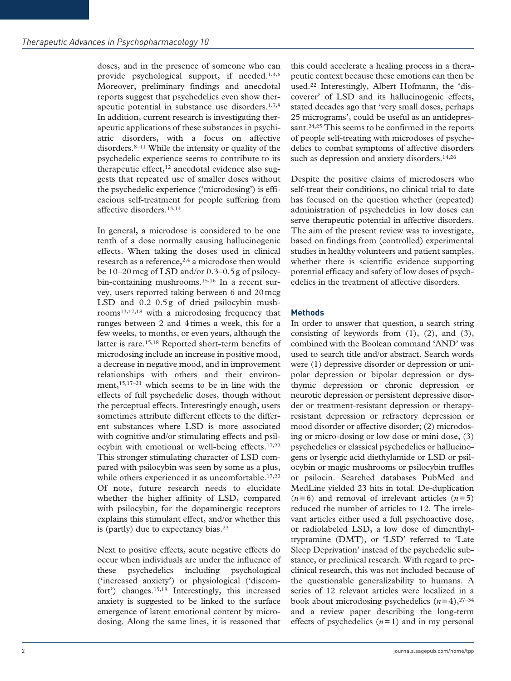doses, and in the presence of someone who can provide psychological support, if needed.1,4,6 Moreover, preliminary findings and anecdotal reports suggest that psychedelics even show therapeutic potential in substance use disorders.1,7,8 In addition, current research is investigating therapeutic applications of these substances in psychiatric disorders, with a focus on affective disorders.8–11 While the intensity or quality of the psychedelic experience seems to contribute to its therapeutic effect, $12$  anecdotal evidence also suggests that repeated use of smaller doses without the psychedelic experience ('microdosing') is efficacious self-treatment for people suffering from affective disorders.13,14

In general, a microdose is considered to be one tenth of a dose normally causing hallucinogenic effects. When taking the doses used in clinical research as a reference,<sup>2,4</sup> a microdose then would be 10–20mcg of LSD and/or 0.3–0.5g of psilocybin-containing mushrooms.<sup>15,16</sup> In a recent survey, users reported taking between 6 and 20mcg LSD and 0.2–0.5g of dried psilocybin mushrooms13,17,18 with a microdosing frequency that ranges between 2 and 4times a week, this for a few weeks, to months, or even years, although the latter is rare.15,18 Reported short-term benefits of microdosing include an increase in positive mood, a decrease in negative mood, and in improvement relationships with others and their environment,15,17–21 which seems to be in line with the effects of full psychedelic doses, though without the perceptual effects. Interestingly enough, users sometimes attribute different effects to the different substances where LSD is more associated with cognitive and/or stimulating effects and psilocybin with emotional or well-being effects.17,22 This stronger stimulating character of LSD compared with psilocybin was seen by some as a plus, while others experienced it as uncomfortable.<sup>17,22</sup> Of note, future research needs to elucidate whether the higher affinity of LSD, compared with psilocybin, for the dopaminergic receptors explains this stimulant effect, and/or whether this is (partly) due to expectancy bias.<sup>23</sup>

Next to positive effects, acute negative effects do occur when individuals are under the influence of these psychedelics including psychological ('increased anxiety') or physiological ('discomfort') changes.15,18 Interestingly, this increased anxiety is suggested to be linked to the surface emergence of latent emotional content by microdosing. Along the same lines, it is reasoned that

this could accelerate a healing process in a therapeutic context because these emotions can then be used.22 Interestingly, Albert Hofmann, the 'discoverer' of LSD and its hallucinogenic effects, stated decades ago that 'very small doses, perhaps 25 micrograms', could be useful as an antidepressant.<sup>24,25</sup> This seems to be confirmed in the reports of people self-treating with microdoses of psychedelics to combat symptoms of affective disorders such as depression and anxiety disorders.<sup>14,26</sup>

Despite the positive claims of microdosers who self-treat their conditions, no clinical trial to date has focused on the question whether (repeated) administration of psychedelics in low doses can serve therapeutic potential in affective disorders. The aim of the present review was to investigate, based on findings from (controlled) experimental studies in healthy volunteers and patient samples, whether there is scientific evidence supporting potential efficacy and safety of low doses of psychedelics in the treatment of affective disorders.

# **Methods**

In order to answer that question, a search string consisting of keywords from (1), (2), and (3), combined with the Boolean command 'AND' was used to search title and/or abstract. Search words were (1) depressive disorder or depression or unipolar depression or bipolar depression or dysthymic depression or chronic depression or neurotic depression or persistent depressive disorder or treatment-resistant depression or therapyresistant depression or refractory depression or mood disorder or affective disorder; (2) microdosing or micro-dosing or low dose or mini dose, (3) psychedelics or classical psychedelics or hallucinogens or lysergic acid diethylamide or LSD or psilocybin or magic mushrooms or psilocybin truffles or psilocin. Searched databases PubMed and MedLine yielded 23 hits in total. De-duplication  $(n=6)$  and removal of irrelevant articles  $(n=5)$ reduced the number of articles to 12. The irrelevant articles either used a full psychoactive dose, or radiolabeled LSD, a low dose of dimenthyltryptamine (DMT), or 'LSD' referred to 'Late Sleep Deprivation' instead of the psychedelic substance, or preclinical research. With regard to preclinical research, this was not included because of the questionable generalizability to humans. A series of 12 relevant articles were localized in a book about microdosing psychedelics  $(n=4)$ , <sup>27–34</sup> and a review paper describing the long-term effects of psychedelics  $(n=1)$  and in my personal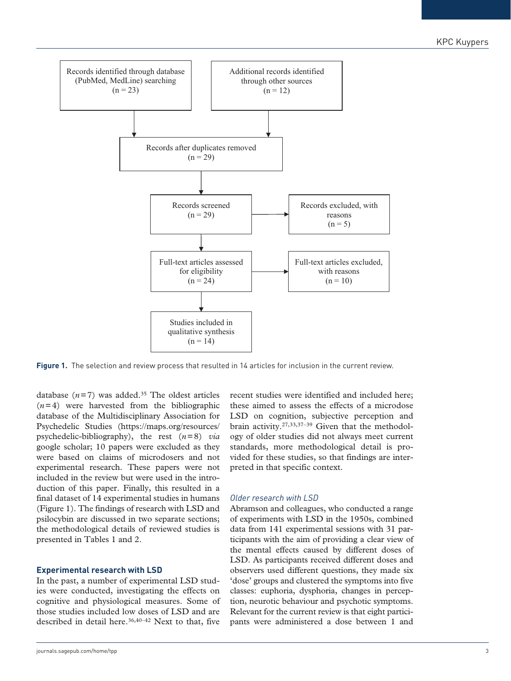

**Figure 1.** The selection and review process that resulted in 14 articles for inclusion in the current review.

database  $(n=7)$  was added.<sup>35</sup> The oldest articles  $(n=4)$  were harvested from the bibliographic database of the Multidisciplinary Association for Psychedelic Studies ([https://maps.org/resources/](https://maps.org/resources/psychedelic-bibliography) [psychedelic-bibliography](https://maps.org/resources/psychedelic-bibliography)), the rest (*n*=8) *via* google scholar; 10 papers were excluded as they were based on claims of microdosers and not experimental research. These papers were not included in the review but were used in the introduction of this paper. Finally, this resulted in a final dataset of 14 experimental studies in humans (Figure 1). The findings of research with LSD and psilocybin are discussed in two separate sections; the methodological details of reviewed studies is presented in Tables 1 and 2.

#### **Experimental research with LSD**

In the past, a number of experimental LSD studies were conducted, investigating the effects on cognitive and physiological measures. Some of those studies included low doses of LSD and are described in detail here.<sup>36,40-42</sup> Next to that, five recent studies were identified and included here; these aimed to assess the effects of a microdose LSD on cognition, subjective perception and brain activity.27,33,37–39 Given that the methodology of older studies did not always meet current standards, more methodological detail is provided for these studies, so that findings are interpreted in that specific context.

### *Older research with LSD*

Abramson and colleagues, who conducted a range of experiments with LSD in the 1950s, combined data from 141 experimental sessions with 31 participants with the aim of providing a clear view of the mental effects caused by different doses of LSD. As participants received different doses and observers used different questions, they made six 'dose' groups and clustered the symptoms into five classes: euphoria, dysphoria, changes in perception, neurotic behaviour and psychotic symptoms. Relevant for the current review is that eight participants were administered a dose between 1 and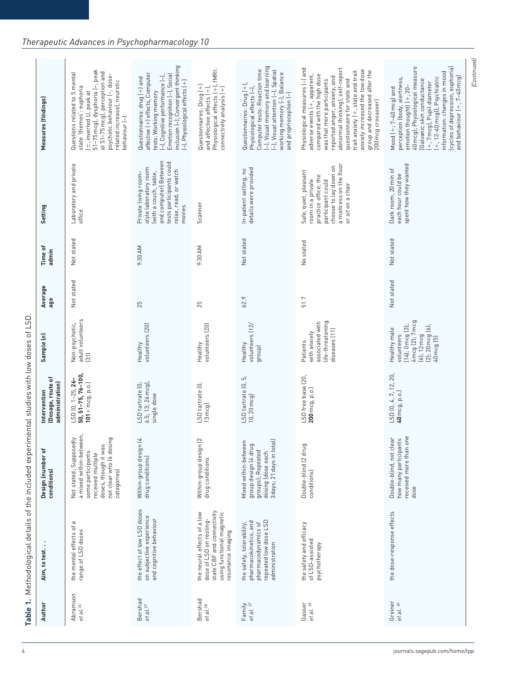| Abramson<br><b>Bershad</b><br>et al.36 |                                                                                                                                        | conditions)                                                                                                                                                   | (Dosage, route of<br>administration)                         |                                                                                                                                                         | age        | admin      | Setting                                                                                                                                                          | Measures (findings)                                                                                                                                                                                                                                                                                                                                         |
|----------------------------------------|----------------------------------------------------------------------------------------------------------------------------------------|---------------------------------------------------------------------------------------------------------------------------------------------------------------|--------------------------------------------------------------|---------------------------------------------------------------------------------------------------------------------------------------------------------|------------|------------|------------------------------------------------------------------------------------------------------------------------------------------------------------------|-------------------------------------------------------------------------------------------------------------------------------------------------------------------------------------------------------------------------------------------------------------------------------------------------------------------------------------------------------------|
|                                        | $\,\sigma$<br>the mental effects of<br>range of LSD doses                                                                              | a mixed within-between,<br>Not stated; Supposedly<br>not clear who (6 dosing<br>doses, though it was<br>some participants<br>received multiple<br>categories) | 50, 51-75, 76-100,<br>LSD (0, 1-25, 26-<br>$101 + mcg, p.o.$ | adult volunteers<br>Non-psychotic,<br>$\begin{bmatrix} 31 \end{bmatrix}$                                                                                | Not stated | Not stated | Laboratory and private<br>office                                                                                                                                 | 51-75 mcg), dysphoria (-, peak<br>at 51-75 mcg), perception and<br>Questions related to 5 mental<br>psychotic behaviour (-, dose-<br>related increase), neurotic<br>state 'themes': euphoria<br>(±, inverted U, peak at<br>behaviour (-)                                                                                                                    |
| et al. <sup>37</sup>                   | the effect of low LSD doses<br>on subjective experience<br>and cognitive behaviour                                                     | Within-group design (4<br>drug conditions)                                                                                                                    | 6.5; 13; 26 mcg),<br>LSD tartrate (0;<br>single dose         | volunteers (20)<br>Healthy                                                                                                                              | 25         | 9:30 AM    | and computer] Between<br>tests participants could<br>style laboratory room<br>relax, read, or watch<br>(with a couch, table,<br>Private living room-<br>movies   | inclusion (-), Convergent thinking<br>affective (+) effects, Computer<br>Emotion recognition (-), Social<br>(-), Cognitive performance (-),<br>Questionnaires: drug (+) and<br>[-], Physiological effects (+)<br>tests: Working memory                                                                                                                      |
| <b>Bershad</b><br>et al. <sup>38</sup> | state CBF and connectivity<br>the neural effects of a low<br>using functional magnetic<br>dose of LSD on resting-<br>resonance imaging | Within-group design (2<br>drug conditions                                                                                                                     | LSD tartrate (0,<br>13 mcg)                                  | volunteers (20)<br>Healthy                                                                                                                              | 25         | 9:30 AM    | Scanner                                                                                                                                                          | Physiological effects (+), fMRI:<br>Questionnaires: Drug (+)<br>connectivity analysis (+)<br>and affective effects $(+)$ ,                                                                                                                                                                                                                                  |
| Family<br>et al. <sup>27</sup>         | repeated low dose LSD<br>pharmacokinetics, and<br>pharmacodynamics of<br>the safety, tolerability,<br>administration                   | 3 days; 21 days in total)<br>Mixed within-between<br>group design (4 drug<br>groups); Repeated<br>dosing (dose each                                           | LSD tartrate (0, 5,<br>10, 20 mcg)                           | volunteers (12/<br>Healthy<br>group)                                                                                                                    | 62.9       | Not stated | details were provided<br>In-patient setting, no                                                                                                                  | (–), Visual memory and learning<br>(–), Visual attention (–), Spatial<br>Computer tests: Reaction time<br>working memory (-), Balance<br>and proprioception (-)<br>Questionnaires: Drug (+),<br>Physiological effects (-),                                                                                                                                  |
| Gasser<br>et al. 39                    | the safety and efficacy<br>of LSD-assisted<br>psychotherapy                                                                            | Double-blind (2 drug<br>conditions)                                                                                                                           | LSD free base (20,<br>200 mcg, p.o.)                         | life-threatening<br>associated with<br>diseases (11)<br>with anxiety<br>Patients                                                                        | 51.7       | No stated  | a mattress on the floor<br>choose to lay down on<br>Safe, quiet, pleasant<br>practice office; the<br>room in a private<br>participant could<br>or sit on a chair | abnormal thinking), self-report<br>Physiological measures (-) and<br>anxiety increased the low dose<br>trait anxiety (+, state and trait<br>group and decreased after the<br>adverse events (+, apparent,<br>compared with the high dose<br>reported anger, anxiety, and<br>was that more participants<br>questionnaire for state and<br>200 mcg crossover) |
| Greiner<br>et al. 40                   | the dose-response effects                                                                                                              | received more than one<br>Double-blind, not clear<br>how many participants<br>dose                                                                            | LSD (0, 4, 7, 12, 20,<br>40 mcg, p.o.)                       | $(14); 0 \text{ meg } (3);$ 4 mcg $(2); 7 \text{ mcg}$<br>$(2)$ ; 20 mcg $(6)$ ;<br>40 mcg $[5]$<br>Healthy male<br>volunteers<br>$(6); 12 \text{ mcg}$ | Not stated | Not stated | spent how they wanted<br>Dark room, 20 min of<br>each hour could be                                                                                              | (cycles of depression, euphoria)<br>and behaviour (+, 7–40 mcg)<br>40 mcg); Physiological measure<br>information: changes in mood<br>(+, 7 mcg), Pupil diameter<br>(+, 12–40 mcg)]; Psychiatric<br>perception (body, alertness,<br>Galvanic skin conductance<br>emotion thought) (+, 20-<br>Mood $(+; 7-40 \text{ mcg})$ and                                |

# *Therapeutic Advances in Psychopharmacology 10*

*(Continued)*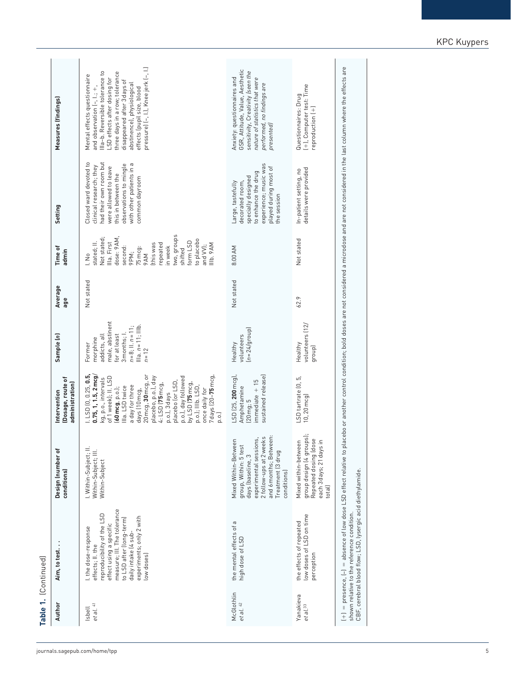| Table 1. (Continued)              |                                                                                                                                                                                                                                |                                                                                                                                                                                       |                                                                                                                                                                                                                                                                                                                                                                                                     |                                                                                                                                                         |                |                                                                                                                                                                                                                                    |                                                                                                                                                                                                     |                                                                                                                                                                                                                                                                                                    |
|-----------------------------------|--------------------------------------------------------------------------------------------------------------------------------------------------------------------------------------------------------------------------------|---------------------------------------------------------------------------------------------------------------------------------------------------------------------------------------|-----------------------------------------------------------------------------------------------------------------------------------------------------------------------------------------------------------------------------------------------------------------------------------------------------------------------------------------------------------------------------------------------------|---------------------------------------------------------------------------------------------------------------------------------------------------------|----------------|------------------------------------------------------------------------------------------------------------------------------------------------------------------------------------------------------------------------------------|-----------------------------------------------------------------------------------------------------------------------------------------------------------------------------------------------------|----------------------------------------------------------------------------------------------------------------------------------------------------------------------------------------------------------------------------------------------------------------------------------------------------|
| Author                            | Aim, to test                                                                                                                                                                                                                   | Design (number of<br>conditions)                                                                                                                                                      | Dosage, route of<br>administration)<br>Intervention                                                                                                                                                                                                                                                                                                                                                 | Sample (n)                                                                                                                                              | Average<br>age | Time of<br>admin                                                                                                                                                                                                                   | Setting                                                                                                                                                                                             | Measures (findings)                                                                                                                                                                                                                                                                                |
| et al. 41<br>Isbell               | measure; III. The tolerance<br>reproducibility of the LSD<br>experiments; only 2 with<br>to LSD after (long-term)<br>effect using a specific<br>I. the dose-response<br>daily intake (4 sub-<br>effects; II. the<br>low doses) | . Within-Subject; II.<br>Within-Subject; III.<br>Within-Subject                                                                                                                       | 1. LSD [0, 0.25, 0.5,<br>20 mcg, 30 mcg, or<br>0.75, 1, 1.5, 2 mcg<br>7 days (20-75 mcg<br>of 1 week); II. LSD<br>placebo, p.o.), day<br>p.o.), day followed<br>kg, p.o., intervals<br>placebo (or LSD,<br>by LSD (75 mcg,<br>4: LSD (75 mcg,<br>a day for three<br>p.o.); IIIb. LSD,<br>Illa. LSD twice<br>60 mcg, p.o.);<br>once daily for<br>days (10 mcg,<br>p.o.), 3 days<br>$\overline{p}.0.$ | male, abstinent<br>Illa. $n = 11$ ; Illb.<br>$n = 8$ ; II. $n = 11$ ;<br>3 months; I.<br>for at least<br>addicts, all<br>morphine<br>Former<br>$n = 12$ | Not stated     | two, groups<br>Not stated;<br>dose: 9 AM,<br>to placebo<br>form LSD<br>Illa. First<br>stated; II.<br>this was<br>epeated<br>IIb. 9 AM<br>and W);<br>n week<br>second:<br>75 mcg:<br>shifted<br>9PM;<br><b>MV6</b><br>$\frac{1}{2}$ | Closed ward devoted to<br>had their own room but<br>with other patients in a<br>observations to mingle<br>clinical research; they<br>were allowed to leave<br>this in between the<br>common dayroom | pressure) (-, l.), Knee jerk (-, l.)<br>Illa-b. Reversible tolerance to<br>three days in a row; tolerance<br>Mental effects questionnaire<br>LSD effects after dosing for<br>disappeared after 3 days of<br>abstinence), physiological<br>and observation (-, l.; +,<br>effects (pupil size, blood |
| McGlothlin<br>et al. 42           | $\,\sigma$<br>the mental effects of<br>high dose of LSD                                                                                                                                                                        | and 6 months; Between:<br>experimental sessions,<br>2 follow-ups at 2 weeks<br>Mixed Within-Between<br>group, Within: 5 test<br>Treatment (3 drug<br>days (baseline, 3<br>conditions) | sustained release)<br>LSD (25, 200 mcg)<br>$m$ mediate + $15$<br>Amphetamine<br>$20$ mg; $5$                                                                                                                                                                                                                                                                                                        | $[n = 24/grow]$<br>volunteers<br>Healthy                                                                                                                | Not stated     | 8:00 AM                                                                                                                                                                                                                            | experience; music was<br>played during most of<br>to enhance the drug<br>specially designed<br>decorated room,<br>Large, tastefully<br>the session                                                  | GSR, Attitude, Value, Aesthetic<br>sensitivity, Creativity (seen the<br>Anxiety: questionnaires and<br>nature of statistics that were<br>performed, no findings are<br>presented)                                                                                                                  |
| Yanakieva<br>et al. <sup>33</sup> | low doses of LSD on time<br>the effects of repeated<br>perception                                                                                                                                                              | group design (4 groups);<br>Repeated dosing (dose<br>Mixed within-between<br>each 3 days; 21 days in<br>total)                                                                        | LSD tartrate (0, 5,<br>10, 20 mcg)                                                                                                                                                                                                                                                                                                                                                                  | volunteers (12)<br>Healthy<br>group)                                                                                                                    | 62.9           | Not stated                                                                                                                                                                                                                         | details were provided<br>In-patient setting, no                                                                                                                                                     | (+), Computer test: Time<br>Questionnaires: Drug<br>reproduction (+)                                                                                                                                                                                                                               |
|                                   | CBF, cerebral blood flow; LSD, lysergic acid diethylamide.<br>shown relative to the reference condition.                                                                                                                       |                                                                                                                                                                                       |                                                                                                                                                                                                                                                                                                                                                                                                     |                                                                                                                                                         |                |                                                                                                                                                                                                                                    |                                                                                                                                                                                                     | $ +\rangle$ = presence, $ -\rangle$ = absence of low dose LSD effect relative to placebo or another control condition; bold doses are not considered a microdose and are not considered in the last column where the effects are                                                                   |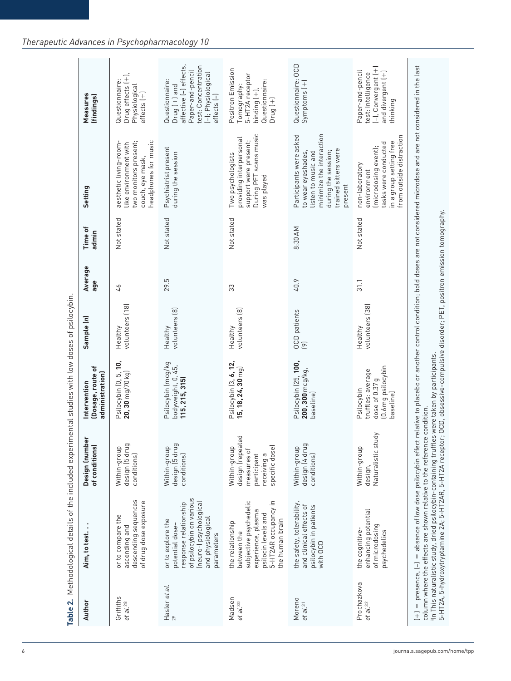| Author                            | Aim, to test.                                                                                                                                          | Design (number<br>of conditions)                                                                | (Dosage, route of<br>administration)<br>Intervention                                 | Sample (n)                      | Average<br>age | Time of<br>admin | Setting                                                                                                                                                    | Measures<br>(findings)                                                                                                                       |
|-----------------------------------|--------------------------------------------------------------------------------------------------------------------------------------------------------|-------------------------------------------------------------------------------------------------|--------------------------------------------------------------------------------------|---------------------------------|----------------|------------------|------------------------------------------------------------------------------------------------------------------------------------------------------------|----------------------------------------------------------------------------------------------------------------------------------------------|
| Griffiths<br>et al. <sup>28</sup> | descending sequences<br>of drug dose exposure<br>or to compare the<br>ascending and                                                                    | design [5 drug<br>Within-group<br>conditions)                                                   | Psilocybin (0, 5, 10,<br>$20, 30$ mg/70 kg)                                          | volunteers (18)<br>Healthy      | 97             | Not stated       | headphones for music<br>two monitors present;<br>aesthetic living-room-<br>like environment with<br>couch, eye mask,                                       | Drug effects (+),<br>Questionnaire:<br>Physiological<br>$effects$ $(+)$                                                                      |
| Hasler et al.<br>$29$             | of psilocybin on various<br>(neuro-) psychological<br>response relationship<br>and physiological<br>or to explore the<br>potential dose-<br>parameters | design [5 drug<br>Within-group<br>conditions)                                                   | Psilocybin (mcg/kg<br>bodyweight, 0, 45,<br>115, 215, 315)                           | volunteers (8)<br>Healthy       | 29.5           | Not stated       | Psychiatrist present<br>during the session                                                                                                                 | affective (-) effects,<br>test: Concentration<br>Paper-and-pencil<br>(-); Physiological<br>Questionnaire:<br>$Drug$ $(+)$ and<br>effects [-] |
| Madsen<br>et al.30                | 5-HT2AR occupancy in<br>subjective psychedelic<br>experience, plasma<br>psilocin levels and<br>the human brain<br>the relationship<br>between the      | design (repeated<br>specific dose)<br>Within-group<br>measures of<br>participant<br>receiving a | Psilocybin (3, 6, 12,<br>15, 18, 24, 30 mg)                                          | volunteers (8)<br>Healthy       | 33             | Not stated       | During PET scans music<br>providing interpersonal<br>support were present;<br>Two psychologists<br>was played                                              | Positron Emission<br>5-HT2A receptor<br>Questionnaire:<br>Tomography:<br>$bindim g$ $(+)$ ,<br>$Drug$ $(+)$                                  |
| Moreno<br>et al. <sup>31</sup>    | the safety, tolerability,<br>and clinical effects of<br>psilocybin in patients<br>with OCD                                                             | design (4 drug<br>Within-group<br>conditions)                                                   | Psilocybin (25, 100,<br>200, 300 mcg/kg,<br>baseline)                                | OCD patients<br>$\boxed{\circ}$ | 40.9           | 8:30 AM          | minimize the interaction<br>Participants were asked<br>trained sitters were<br>during the session;<br>to wear eyeshades,<br>listen to music and<br>present | Questionnaire: OCD<br>$Symptoms$ $(+)$                                                                                                       |
| Prochazkova<br>et al.32           | enhancing potential<br>of microdosing<br>the cognitive-<br>psychedelics                                                                                | $\overrightarrow{\sigma}$<br>Naturalistic stu<br>Within-group<br>design,                        | (0.6 mg psilocybin<br>truffles: average<br>dose of 0.37 g<br>Psilocybin<br>baseline] | volunteers [38]<br>Healthy      | 31.1           | Not stated       | from outside distraction<br>in a group setting free<br>tasks were conducted<br>(microdosing event);<br>non-laboratory<br>environment                       | (-), Convergent (+)<br>Paper-and-pencil<br>and divergent [+]<br>test: Intelligence<br>thinking                                               |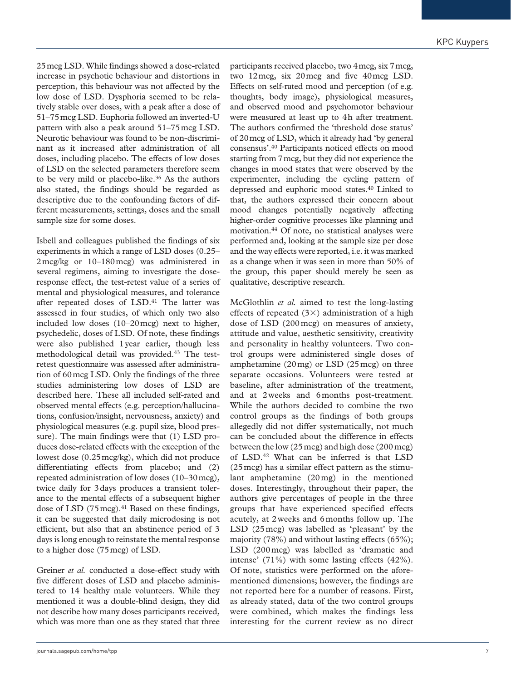25mcg LSD. While findings showed a dose-related increase in psychotic behaviour and distortions in perception, this behaviour was not affected by the low dose of LSD. Dysphoria seemed to be relatively stable over doses, with a peak after a dose of 51–75mcg LSD. Euphoria followed an inverted-U pattern with also a peak around 51–75mcg LSD. Neurotic behaviour was found to be non-discriminant as it increased after administration of all doses, including placebo. The effects of low doses of LSD on the selected parameters therefore seem to be very mild or placebo-like.<sup>36</sup> As the authors also stated, the findings should be regarded as descriptive due to the confounding factors of different measurements, settings, doses and the small sample size for some doses.

Isbell and colleagues published the findings of six experiments in which a range of LSD doses (0.25– 2mcg/kg or 10–180mcg) was administered in several regimens, aiming to investigate the doseresponse effect, the test-retest value of a series of mental and physiological measures, and tolerance after repeated doses of LSD.<sup>41</sup> The latter was assessed in four studies, of which only two also included low doses (10–20mcg) next to higher, psychedelic, doses of LSD. Of note, these findings were also published 1year earlier, though less methodological detail was provided.43 The testretest questionnaire was assessed after administration of 60mcg LSD. Only the findings of the three studies administering low doses of LSD are described here. These all included self-rated and observed mental effects (e.g. perception/hallucinations, confusion/insight, nervousness, anxiety) and physiological measures (e.g. pupil size, blood pressure). The main findings were that (1) LSD produces dose-related effects with the exception of the lowest dose (0.25mcg/kg), which did not produce differentiating effects from placebo; and (2) repeated administration of low doses (10–30mcg), twice daily for 3days produces a transient tolerance to the mental effects of a subsequent higher dose of LSD  $(75 \text{~mag})$ .<sup>41</sup> Based on these findings, it can be suggested that daily microdosing is not efficient, but also that an abstinence period of 3 days is long enough to reinstate the mental response to a higher dose (75mcg) of LSD.

Greiner *et al.* conducted a dose-effect study with five different doses of LSD and placebo administered to 14 healthy male volunteers. While they mentioned it was a double-blind design, they did not describe how many doses participants received, which was more than one as they stated that three

participants received placebo, two 4mcg, six 7mcg, two 12mcg, six 20mcg and five 40mcg LSD. Effects on self-rated mood and perception (of e.g. thoughts, body image), physiological measures, and observed mood and psychomotor behaviour were measured at least up to 4h after treatment. The authors confirmed the 'threshold dose status' of 20mcg of LSD, which it already had 'by general consensus'.40 Participants noticed effects on mood starting from 7mcg, but they did not experience the changes in mood states that were observed by the experimenter, including the cycling pattern of depressed and euphoric mood states.40 Linked to that, the authors expressed their concern about mood changes potentially negatively affecting higher-order cognitive processes like planning and motivation.44 Of note, no statistical analyses were performed and, looking at the sample size per dose and the way effects were reported, i.e. it was marked as a change when it was seen in more than 50% of the group, this paper should merely be seen as qualitative, descriptive research.

McGlothlin *et al.* aimed to test the long-lasting effects of repeated  $(3\times)$  administration of a high dose of LSD (200mcg) on measures of anxiety, attitude and value, aesthetic sensitivity, creativity and personality in healthy volunteers. Two control groups were administered single doses of amphetamine (20mg) or LSD (25mcg) on three separate occasions. Volunteers were tested at baseline, after administration of the treatment, and at 2weeks and 6months post-treatment. While the authors decided to combine the two control groups as the findings of both groups allegedly did not differ systematically, not much can be concluded about the difference in effects between the low (25mcg) and high dose (200mcg) of LSD.42 What can be inferred is that LSD (25mcg) has a similar effect pattern as the stimulant amphetamine (20mg) in the mentioned doses. Interestingly, throughout their paper, the authors give percentages of people in the three groups that have experienced specified effects acutely, at 2weeks and 6months follow up. The LSD (25mcg) was labelled as 'pleasant' by the majority (78%) and without lasting effects (65%); LSD (200mcg) was labelled as 'dramatic and intense' (71%) with some lasting effects (42%). Of note, statistics were performed on the aforementioned dimensions; however, the findings are not reported here for a number of reasons. First, as already stated, data of the two control groups were combined, which makes the findings less interesting for the current review as no direct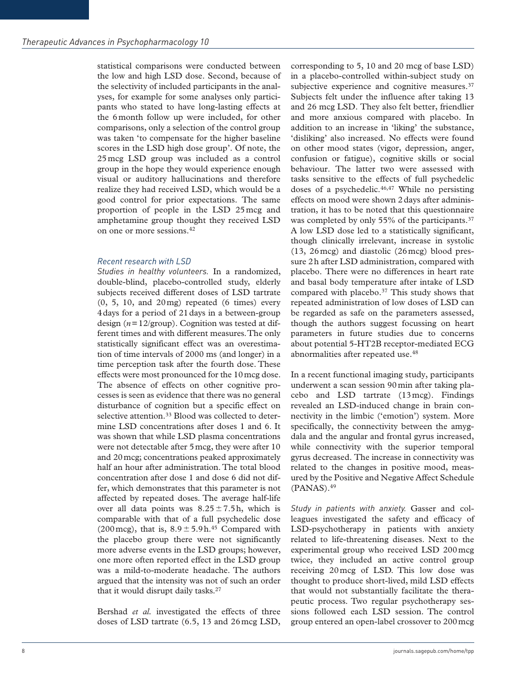statistical comparisons were conducted between the low and high LSD dose. Second, because of the selectivity of included participants in the analyses, for example for some analyses only participants who stated to have long-lasting effects at the 6month follow up were included, for other comparisons, only a selection of the control group was taken 'to compensate for the higher baseline scores in the LSD high dose group'. Of note, the 25mcg LSD group was included as a control group in the hope they would experience enough visual or auditory hallucinations and therefore realize they had received LSD, which would be a good control for prior expectations. The same proportion of people in the LSD 25mcg and amphetamine group thought they received LSD on one or more sessions.42

#### *Recent research with LSD*

*Studies in healthy volunteers.* In a randomized, double-blind, placebo-controlled study, elderly subjects received different doses of LSD tartrate  $(0, 5, 10, \text{ and } 20 \,\text{mg})$  repeated  $(6 \text{ times})$  every 4days for a period of 21days in a between-group design (*n*=12/group). Cognition was tested at different times and with different measures. The only statistically significant effect was an overestimation of time intervals of 2000 ms (and longer) in a time perception task after the fourth dose. These effects were most pronounced for the 10mcg dose. The absence of effects on other cognitive processes is seen as evidence that there was no general disturbance of cognition but a specific effect on selective attention.<sup>33</sup> Blood was collected to determine LSD concentrations after doses 1 and 6. It was shown that while LSD plasma concentrations were not detectable after 5mcg, they were after 10 and 20mcg; concentrations peaked approximately half an hour after administration. The total blood concentration after dose 1 and dose 6 did not differ, which demonstrates that this parameter is not affected by repeated doses. The average half-life over all data points was  $8.25 \pm 7.5$ h, which is comparable with that of a full psychedelic dose (200 mcg), that is,  $8.9 \pm 5.9$  h.<sup>45</sup> Compared with the placebo group there were not significantly more adverse events in the LSD groups; however, one more often reported effect in the LSD group was a mild-to-moderate headache. The authors argued that the intensity was not of such an order that it would disrupt daily tasks.<sup>27</sup>

Bershad *et al.* investigated the effects of three doses of LSD tartrate (6.5, 13 and 26mcg LSD, corresponding to 5, 10 and 20 mcg of base LSD) in a placebo-controlled within-subject study on subjective experience and cognitive measures.<sup>37</sup> Subjects felt under the influence after taking 13 and 26 mcg LSD. They also felt better, friendlier and more anxious compared with placebo. In addition to an increase in 'liking' the substance, 'disliking' also increased. No effects were found on other mood states (vigor, depression, anger, confusion or fatigue), cognitive skills or social behaviour. The latter two were assessed with tasks sensitive to the effects of full psychedelic doses of a psychedelic. $46,47$  While no persisting effects on mood were shown 2days after administration, it has to be noted that this questionnaire was completed by only 55% of the participants.<sup>37</sup> A low LSD dose led to a statistically significant, though clinically irrelevant, increase in systolic (13, 26mcg) and diastolic (26mcg) blood pressure 2h after LSD administration, compared with placebo. There were no differences in heart rate and basal body temperature after intake of LSD compared with placebo.37 This study shows that repeated administration of low doses of LSD can be regarded as safe on the parameters assessed, though the authors suggest focussing on heart parameters in future studies due to concerns about potential 5-HT2B receptor-mediated ECG abnormalities after repeated use.48

In a recent functional imaging study, participants underwent a scan session 90min after taking placebo and LSD tartrate (13mcg). Findings revealed an LSD-induced change in brain connectivity in the limbic ('emotion') system. More specifically, the connectivity between the amygdala and the angular and frontal gyrus increased, while connectivity with the superior temporal gyrus decreased. The increase in connectivity was related to the changes in positive mood, measured by the Positive and Negative Affect Schedule  $(PANAS).<sup>49</sup>$ 

*Study in patients with anxiety.* Gasser and colleagues investigated the safety and efficacy of LSD-psychotherapy in patients with anxiety related to life-threatening diseases. Next to the experimental group who received LSD 200mcg twice, they included an active control group receiving 20mcg of LSD. This low dose was thought to produce short-lived, mild LSD effects that would not substantially facilitate the therapeutic process. Two regular psychotherapy sessions followed each LSD session. The control group entered an open-label crossover to 200mcg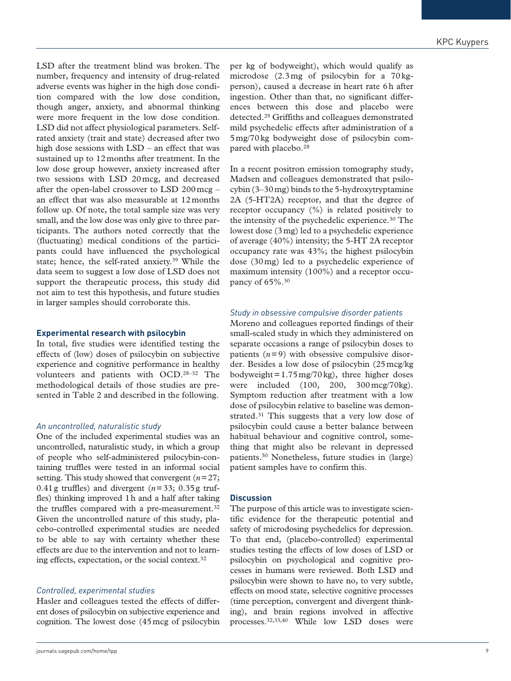LSD after the treatment blind was broken. The number, frequency and intensity of drug-related adverse events was higher in the high dose condition compared with the low dose condition, though anger, anxiety, and abnormal thinking were more frequent in the low dose condition. LSD did not affect physiological parameters. Selfrated anxiety (trait and state) decreased after two high dose sessions with LSD – an effect that was sustained up to 12months after treatment. In the low dose group however, anxiety increased after two sessions with LSD 20mcg, and decreased after the open-label crossover to LSD 200mcg – an effect that was also measurable at 12months follow up. Of note, the total sample size was very small, and the low dose was only give to three participants. The authors noted correctly that the (fluctuating) medical conditions of the participants could have influenced the psychological state; hence, the self-rated anxiety.39 While the data seem to suggest a low dose of LSD does not support the therapeutic process, this study did not aim to test this hypothesis, and future studies in larger samples should corroborate this.

#### **Experimental research with psilocybin**

In total, five studies were identified testing the effects of (low) doses of psilocybin on subjective experience and cognitive performance in healthy volunteers and patients with OCD.28–32 The methodological details of those studies are presented in Table 2 and described in the following.

#### *An uncontrolled, naturalistic study*

One of the included experimental studies was an uncontrolled, naturalistic study, in which a group of people who self-administered psilocybin-containing truffles were tested in an informal social setting. This study showed that convergent (*n*=27; 0.41 g truffles) and divergent  $(n=33; 0.35)$ g truffles) thinking improved 1h and a half after taking the truffles compared with a pre-measurement.<sup>32</sup> Given the uncontrolled nature of this study, placebo-controlled experimental studies are needed to be able to say with certainty whether these effects are due to the intervention and not to learning effects, expectation, or the social context.32

#### *Controlled, experimental studies*

Hasler and colleagues tested the effects of different doses of psilocybin on subjective experience and cognition. The lowest dose (45mcg of psilocybin per kg of bodyweight), which would qualify as microdose (2.3mg of psilocybin for a 70kgperson), caused a decrease in heart rate 6h after ingestion. Other than that, no significant differences between this dose and placebo were detected.29 Griffiths and colleagues demonstrated mild psychedelic effects after administration of a 5mg/70kg bodyweight dose of psilocybin compared with placebo.28

In a recent positron emission tomography study, Madsen and colleagues demonstrated that psilocybin (3–30mg) binds to the 5-hydroxytryptamine 2A (5-HT2A) receptor, and that the degree of receptor occupancy (%) is related positively to the intensity of the psychedelic experience.30 The lowest dose (3mg) led to a psychedelic experience of average (40%) intensity; the 5-HT 2A receptor occupancy rate was 43%; the highest psilocybin dose (30mg) led to a psychedelic experience of maximum intensity (100%) and a receptor occupancy of 65%.30

#### *Study in obsessive compulsive disorder patients*

Moreno and colleagues reported findings of their small-scaled study in which they administered on separate occasions a range of psilocybin doses to patients  $(n=9)$  with obsessive compulsive disorder. Besides a low dose of psilocybin (25mcg/kg bodyweight= $1.75 \text{ mg}/70 \text{ kg}$ , three higher doses were included (100, 200, 300mcg/70kg). Symptom reduction after treatment with a low dose of psilocybin relative to baseline was demonstrated.<sup>31</sup> This suggests that a very low dose of psilocybin could cause a better balance between habitual behaviour and cognitive control, something that might also be relevant in depressed patients.50 Nonetheless, future studies in (large) patient samples have to confirm this.

#### **Discussion**

The purpose of this article was to investigate scientific evidence for the therapeutic potential and safety of microdosing psychedelics for depression. To that end, (placebo-controlled) experimental studies testing the effects of low doses of LSD or psilocybin on psychological and cognitive processes in humans were reviewed. Both LSD and psilocybin were shown to have no, to very subtle, effects on mood state, selective cognitive processes (time perception, convergent and divergent thinking), and brain regions involved in affective processes.32,33,40 While low LSD doses were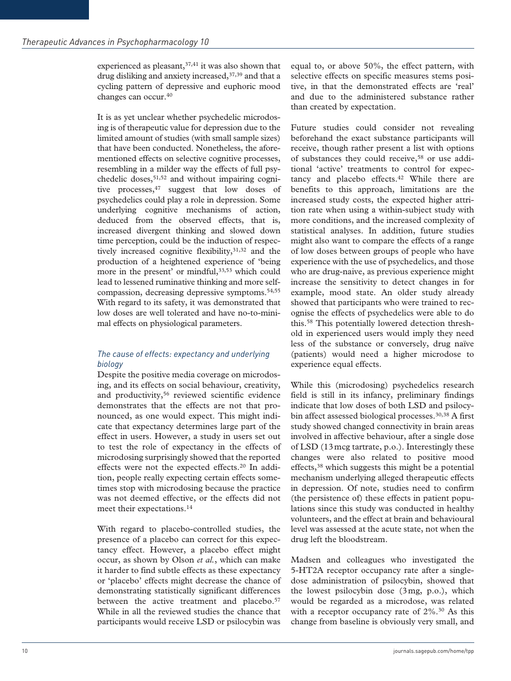experienced as pleasant, 37,41 it was also shown that drug disliking and anxiety increased, 37,39 and that a cycling pattern of depressive and euphoric mood changes can occur.40

It is as yet unclear whether psychedelic microdosing is of therapeutic value for depression due to the limited amount of studies (with small sample sizes) that have been conducted. Nonetheless, the aforementioned effects on selective cognitive processes, resembling in a milder way the effects of full psychedelic doses,  $51,52$  and without impairing cognitive processes,  $47$  suggest that low doses of psychedelics could play a role in depression. Some underlying cognitive mechanisms of action, deduced from the observed effects, that is, increased divergent thinking and slowed down time perception, could be the induction of respectively increased cognitive flexibility, 31,32 and the production of a heightened experience of 'being more in the present' or mindful, 33,53 which could lead to lessened ruminative thinking and more selfcompassion, decreasing depressive symptoms.54,55 With regard to its safety, it was demonstrated that low doses are well tolerated and have no-to-minimal effects on physiological parameters.

# *The cause of effects: expectancy and underlying biology*

Despite the positive media coverage on microdosing, and its effects on social behaviour, creativity, and productivity,<sup>56</sup> reviewed scientific evidence demonstrates that the effects are not that pronounced, as one would expect. This might indicate that expectancy determines large part of the effect in users. However, a study in users set out to test the role of expectancy in the effects of microdosing surprisingly showed that the reported effects were not the expected effects.20 In addition, people really expecting certain effects sometimes stop with microdosing because the practice was not deemed effective, or the effects did not meet their expectations.14

With regard to placebo-controlled studies, the presence of a placebo can correct for this expectancy effect. However, a placebo effect might occur, as shown by Olson *et al.*, which can make it harder to find subtle effects as these expectancy or 'placebo' effects might decrease the chance of demonstrating statistically significant differences between the active treatment and placebo.<sup>57</sup> While in all the reviewed studies the chance that participants would receive LSD or psilocybin was

equal to, or above 50%, the effect pattern, with selective effects on specific measures stems positive, in that the demonstrated effects are 'real' and due to the administered substance rather than created by expectation.

Future studies could consider not revealing beforehand the exact substance participants will receive, though rather present a list with options of substances they could receive,<sup>58</sup> or use additional 'active' treatments to control for expectancy and placebo effects.<sup>42</sup> While there are benefits to this approach, limitations are the increased study costs, the expected higher attrition rate when using a within-subject study with more conditions, and the increased complexity of statistical analyses. In addition, future studies might also want to compare the effects of a range of low doses between groups of people who have experience with the use of psychedelics, and those who are drug-naive, as previous experience might increase the sensitivity to detect changes in for example, mood state. An older study already showed that participants who were trained to recognise the effects of psychedelics were able to do this.58 This potentially lowered detection threshold in experienced users would imply they need less of the substance or conversely, drug naïve (patients) would need a higher microdose to experience equal effects.

While this (microdosing) psychedelics research field is still in its infancy, preliminary findings indicate that low doses of both LSD and psilocybin affect assessed biological processes.<sup>30,38</sup> A first study showed changed connectivity in brain areas involved in affective behaviour, after a single dose of LSD (13mcg tartrate, p.o.). Interestingly these changes were also related to positive mood effects,38 which suggests this might be a potential mechanism underlying alleged therapeutic effects in depression. Of note, studies need to confirm (the persistence of) these effects in patient populations since this study was conducted in healthy volunteers, and the effect at brain and behavioural level was assessed at the acute state, not when the drug left the bloodstream.

Madsen and colleagues who investigated the 5-HT2A receptor occupancy rate after a singledose administration of psilocybin, showed that the lowest psilocybin dose (3mg, p.o.), which would be regarded as a microdose, was related with a receptor occupancy rate of  $2\%$ .<sup>30</sup> As this change from baseline is obviously very small, and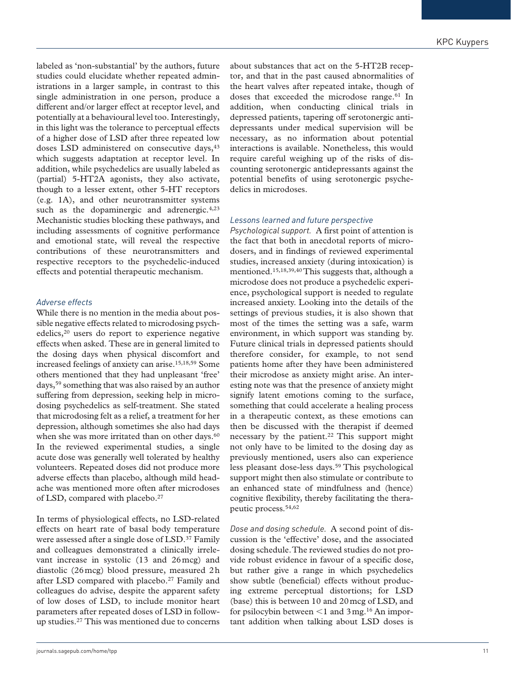labeled as 'non-substantial' by the authors, future studies could elucidate whether repeated administrations in a larger sample, in contrast to this single administration in one person, produce a different and/or larger effect at receptor level, and potentially at a behavioural level too. Interestingly, in this light was the tolerance to perceptual effects of a higher dose of LSD after three repeated low doses LSD administered on consecutive days, 43 which suggests adaptation at receptor level. In addition, while psychedelics are usually labeled as (partial) 5-HT2A agonists, they also activate, though to a lesser extent, other 5-HT receptors (e.g. 1A), and other neurotransmitter systems such as the dopaminergic and adrenergic. $4,23$ Mechanistic studies blocking these pathways, and including assessments of cognitive performance and emotional state, will reveal the respective contributions of these neurotransmitters and respective receptors to the psychedelic-induced effects and potential therapeutic mechanism.

## *Adverse effects*

While there is no mention in the media about possible negative effects related to microdosing psychedelics,20 users do report to experience negative effects when asked. These are in general limited to the dosing days when physical discomfort and increased feelings of anxiety can arise.15,18,59 Some others mentioned that they had unpleasant 'free' days,59 something that was also raised by an author suffering from depression, seeking help in microdosing psychedelics as self-treatment. She stated that microdosing felt as a relief, a treatment for her depression, although sometimes she also had days when she was more irritated than on other days.<sup>60</sup> In the reviewed experimental studies, a single acute dose was generally well tolerated by healthy volunteers. Repeated doses did not produce more adverse effects than placebo, although mild headache was mentioned more often after microdoses of LSD, compared with placebo.<sup>27</sup>

In terms of physiological effects, no LSD-related effects on heart rate of basal body temperature were assessed after a single dose of LSD.<sup>37</sup> Family and colleagues demonstrated a clinically irrelevant increase in systolic (13 and 26mcg) and diastolic (26mcg) blood pressure, measured 2h after LSD compared with placebo.27 Family and colleagues do advise, despite the apparent safety of low doses of LSD, to include monitor heart parameters after repeated doses of LSD in followup studies.27 This was mentioned due to concerns about substances that act on the 5-HT2B receptor, and that in the past caused abnormalities of the heart valves after repeated intake, though of doses that exceeded the microdose range.<sup>61</sup> In addition, when conducting clinical trials in depressed patients, tapering off serotonergic antidepressants under medical supervision will be necessary, as no information about potential interactions is available. Nonetheless, this would require careful weighing up of the risks of discounting serotonergic antidepressants against the potential benefits of using serotonergic psychedelics in microdoses.

#### *Lessons learned and future perspective*

*Psychological support.* A first point of attention is the fact that both in anecdotal reports of microdosers, and in findings of reviewed experimental studies, increased anxiety (during intoxication) is mentioned.15,18,39,40 This suggests that, although a microdose does not produce a psychedelic experience, psychological support is needed to regulate increased anxiety. Looking into the details of the settings of previous studies, it is also shown that most of the times the setting was a safe, warm environment, in which support was standing by. Future clinical trials in depressed patients should therefore consider, for example, to not send patients home after they have been administered their microdose as anxiety might arise. An interesting note was that the presence of anxiety might signify latent emotions coming to the surface, something that could accelerate a healing process in a therapeutic context, as these emotions can then be discussed with the therapist if deemed necessary by the patient.<sup>22</sup> This support might not only have to be limited to the dosing day as previously mentioned, users also can experience less pleasant dose-less days.59 This psychological support might then also stimulate or contribute to an enhanced state of mindfulness and (hence) cognitive flexibility, thereby facilitating the therapeutic process.54,62

*Dose and dosing schedule.* A second point of discussion is the 'effective' dose, and the associated dosing schedule. The reviewed studies do not provide robust evidence in favour of a specific dose, but rather give a range in which psychedelics show subtle (beneficial) effects without producing extreme perceptual distortions; for LSD (base) this is between 10 and 20mcg of LSD, and for psilocybin between  $\leq 1$  and 3 mg.<sup>16</sup> An important addition when talking about LSD doses is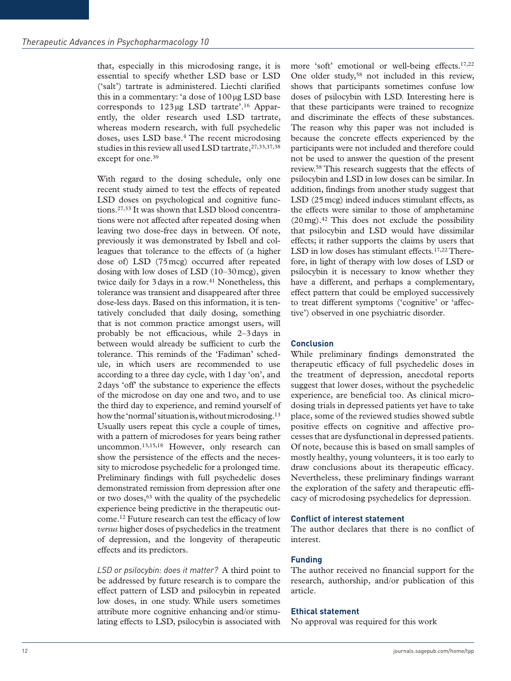that, especially in this microdosing range, it is essential to specify whether LSD base or LSD ('salt') tartrate is administered. Liechti clarified this in a commentary: 'a dose of 100µg LSD base corresponds to 123µg LSD tartrate'.16 Apparently, the older research used LSD tartrate, whereas modern research, with full psychedelic doses, uses LSD base.4 The recent microdosing studies in this review all used LSD tartrate,  $27,33,37,38$ except for one.<sup>39</sup>

With regard to the dosing schedule, only one recent study aimed to test the effects of repeated LSD doses on psychological and cognitive functions.27,33 It was shown that LSD blood concentrations were not affected after repeated dosing when leaving two dose-free days in between. Of note, previously it was demonstrated by Isbell and colleagues that tolerance to the effects of (a higher dose of) LSD (75mcg) occurred after repeated dosing with low doses of LSD (10–30mcg), given twice daily for 3 days in a row.<sup>41</sup> Nonetheless, this tolerance was transient and disappeared after three dose-less days. Based on this information, it is tentatively concluded that daily dosing, something that is not common practice amongst users, will probably be not efficacious, while 2–3days in between would already be sufficient to curb the tolerance. This reminds of the 'Fadiman' schedule, in which users are recommended to use according to a three day cycle, with 1day 'on', and 2days 'off' the substance to experience the effects of the microdose on day one and two, and to use the third day to experience, and remind yourself of how the 'normal' situation is, without microdosing.<sup>13</sup> Usually users repeat this cycle a couple of times, with a pattern of microdoses for years being rather uncommon.13,15,18 However, only research can show the persistence of the effects and the necessity to microdose psychedelic for a prolonged time. Preliminary findings with full psychedelic doses demonstrated remission from depression after one or two doses,63 with the quality of the psychedelic experience being predictive in the therapeutic outcome.12 Future research can test the efficacy of low *versus* higher doses of psychedelics in the treatment of depression, and the longevity of therapeutic effects and its predictors.

*LSD or psilocybin: does it matter?* A third point to be addressed by future research is to compare the effect pattern of LSD and psilocybin in repeated low doses, in one study. While users sometimes attribute more cognitive enhancing and/or stimulating effects to LSD, psilocybin is associated with more 'soft' emotional or well-being effects.<sup>17,22</sup> One older study,<sup>58</sup> not included in this review, shows that participants sometimes confuse low doses of psilocybin with LSD. Interesting here is that these participants were trained to recognize and discriminate the effects of these substances. The reason why this paper was not included is because the concrete effects experienced by the participants were not included and therefore could not be used to answer the question of the present review.58 This research suggests that the effects of psilocybin and LSD in low doses can be similar. In addition, findings from another study suggest that LSD (25mcg) indeed induces stimulant effects, as the effects were similar to those of amphetamine  $(20 \,\text{mg})$ .<sup>42</sup> This does not exclude the possibility that psilocybin and LSD would have dissimilar effects; it rather supports the claims by users that LSD in low doses has stimulant effects.<sup>17,22</sup> Therefore, in light of therapy with low doses of LSD or psilocybin it is necessary to know whether they have a different, and perhaps a complementary, effect pattern that could be employed successively to treat different symptoms ('cognitive' or 'affective') observed in one psychiatric disorder.

## **Conclusion**

While preliminary findings demonstrated the therapeutic efficacy of full psychedelic doses in the treatment of depression, anecdotal reports suggest that lower doses, without the psychedelic experience, are beneficial too. As clinical microdosing trials in depressed patients yet have to take place, some of the reviewed studies showed subtle positive effects on cognitive and affective processes that are dysfunctional in depressed patients. Of note, because this is based on small samples of mostly healthy, young volunteers, it is too early to draw conclusions about its therapeutic efficacy. Nevertheless, these preliminary findings warrant the exploration of the safety and therapeutic efficacy of microdosing psychedelics for depression.

# **Conflict of interest statement**

The author declares that there is no conflict of interest.

# **Funding**

The author received no financial support for the research, authorship, and/or publication of this article.

#### **Ethical statement**

No approval was required for this work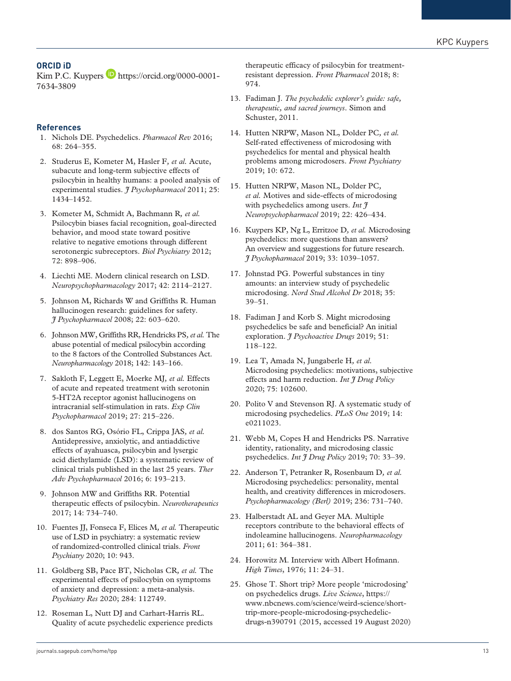# **ORCID iD**

Kim P.C. Kuypers **b** [https://orcid.org/0000-0001-](https://orcid.org/0000-0001-7634-3809) [7634-3809](https://orcid.org/0000-0001-7634-3809)

## **References**

- 1. Nichols DE. Psychedelics. *Pharmacol Rev* 2016; 68: 264–355.
- 2. Studerus E, Kometer M, Hasler F*, et al.* Acute, subacute and long-term subjective effects of psilocybin in healthy humans: a pooled analysis of experimental studies. *J Psychopharmacol* 2011; 25: 1434–1452.
- 3. Kometer M, Schmidt A, Bachmann R*, et al.* Psilocybin biases facial recognition, goal-directed behavior, and mood state toward positive relative to negative emotions through different serotonergic subreceptors. *Biol Psychiatry* 2012; 72: 898–906.
- 4. Liechti ME. Modern clinical research on LSD. *Neuropsychopharmacology* 2017; 42: 2114–2127.
- 5. Johnson M, Richards W and Griffiths R. Human hallucinogen research: guidelines for safety. *J Psychopharmacol* 2008; 22: 603–620.
- 6. Johnson MW, Griffiths RR, Hendricks PS*, et al.* The abuse potential of medical psilocybin according to the 8 factors of the Controlled Substances Act. *Neuropharmacology* 2018; 142: 143–166.
- 7. Sakloth F, Leggett E, Moerke MJ*, et al.* Effects of acute and repeated treatment with serotonin 5-HT2A receptor agonist hallucinogens on intracranial self-stimulation in rats. *Exp Clin Psychopharmacol* 2019; 27: 215–226.
- 8. dos Santos RG, Osório FL, Crippa JAS*, et al.* Antidepressive, anxiolytic, and antiaddictive effects of ayahuasca, psilocybin and lysergic acid diethylamide (LSD): a systematic review of clinical trials published in the last 25 years. *Ther Adv Psychopharmacol* 2016; 6: 193–213.
- 9. Johnson MW and Griffiths RR. Potential therapeutic effects of psilocybin. *Neurotherapeutics* 2017; 14: 734–740.
- 10. Fuentes JJ, Fonseca F, Elices M*, et al.* Therapeutic use of LSD in psychiatry: a systematic review of randomized-controlled clinical trials. *Front Psychiatry* 2020; 10: 943.
- 11. Goldberg SB, Pace BT, Nicholas CR*, et al.* The experimental effects of psilocybin on symptoms of anxiety and depression: a meta-analysis. *Psychiatry Res* 2020; 284: 112749.
- 12. Roseman L, Nutt DJ and Carhart-Harris RL. Quality of acute psychedelic experience predicts

therapeutic efficacy of psilocybin for treatmentresistant depression. *Front Pharmacol* 2018; 8: 974.

- 13. Fadiman J. *The psychedelic explorer's guide: safe, therapeutic, and sacred journeys*. Simon and Schuster, 2011.
- 14. Hutten NRPW, Mason NL, Dolder PC*, et al.* Self-rated effectiveness of microdosing with psychedelics for mental and physical health problems among microdosers. *Front Psychiatry* 2019; 10: 672.
- 15. Hutten NRPW, Mason NL, Dolder PC*, et al.* Motives and side-effects of microdosing with psychedelics among users. *Int*  $\tilde{\tau}$ *Neuropsychopharmacol* 2019; 22: 426–434.
- 16. Kuypers KP, Ng L, Erritzoe D*, et al.* Microdosing psychedelics: more questions than answers? An overview and suggestions for future research. *J Psychopharmacol* 2019; 33: 1039–1057.
- 17. Johnstad PG. Powerful substances in tiny amounts: an interview study of psychedelic microdosing. *Nord Stud Alcohol Dr* 2018; 35: 39–51.
- 18. Fadiman J and Korb S. Might microdosing psychedelics be safe and beneficial? An initial exploration. *J Psychoactive Drugs* 2019; 51: 118–122.
- 19. Lea T, Amada N, Jungaberle H*, et al.* Microdosing psychedelics: motivations, subjective effects and harm reduction. *Int J Drug Policy* 2020; 75: 102600.
- 20. Polito V and Stevenson RJ. A systematic study of microdosing psychedelics. *PLoS One* 2019; 14: e0211023.
- 21. Webb M, Copes H and Hendricks PS. Narrative identity, rationality, and microdosing classic psychedelics. *Int J Drug Policy* 2019; 70: 33–39.
- 22. Anderson T, Petranker R, Rosenbaum D*, et al.* Microdosing psychedelics: personality, mental health, and creativity differences in microdosers. *Psychopharmacology (Berl)* 2019; 236: 731–740.
- 23. Halberstadt AL and Geyer MA. Multiple receptors contribute to the behavioral effects of indoleamine hallucinogens. *Neuropharmacology* 2011; 61: 364–381.
- 24. Horowitz M. Interview with Albert Hofmann. *High Times*, 1976; 11: 24–31.
- 25. Ghose T. Short trip? More people 'microdosing' on psychedelics drugs. *Live Science*, [https://](https://www.nbcnews.com/science/weird-science/short-trip-more-people-microdosing-psychedelic-drugs-n390791) [www.nbcnews.com/science/weird-science/short](https://www.nbcnews.com/science/weird-science/short-trip-more-people-microdosing-psychedelic-drugs-n390791)[trip-more-people-microdosing-psychedelic](https://www.nbcnews.com/science/weird-science/short-trip-more-people-microdosing-psychedelic-drugs-n390791)[drugs-n390791](https://www.nbcnews.com/science/weird-science/short-trip-more-people-microdosing-psychedelic-drugs-n390791) (2015, accessed 19 August 2020)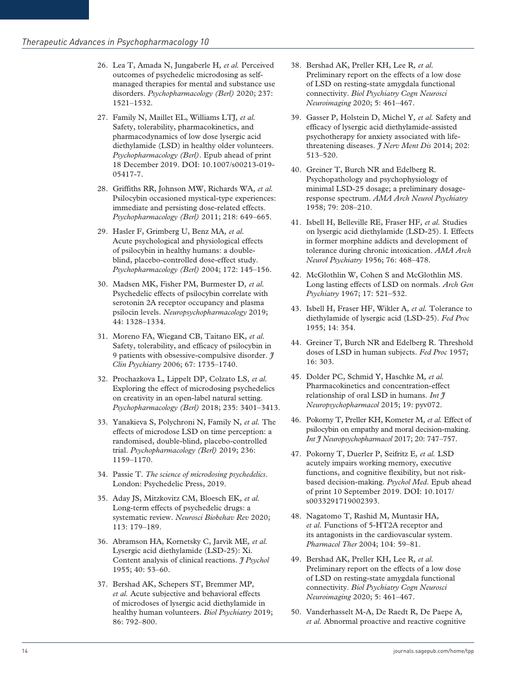- 26. Lea T, Amada N, Jungaberle H*, et al.* Perceived outcomes of psychedelic microdosing as selfmanaged therapies for mental and substance use disorders. *Psychopharmacology (Berl)* 2020; 237: 1521–1532.
- 27. Family N, Maillet EL, Williams LTJ*, et al.* Safety, tolerability, pharmacokinetics, and pharmacodynamics of low dose lysergic acid diethylamide (LSD) in healthy older volunteers. *Psychopharmacology (Berl)*. Epub ahead of print 18 December 2019. DOI: 10.1007/s00213-019- 05417-7.
- 28. Griffiths RR, Johnson MW, Richards WA*, et al.* Psilocybin occasioned mystical-type experiences: immediate and persisting dose-related effects. *Psychopharmacology (Berl)* 2011; 218: 649–665.
- 29. Hasler F, Grimberg U, Benz MA*, et al.* Acute psychological and physiological effects of psilocybin in healthy humans: a doubleblind, placebo-controlled dose-effect study. *Psychopharmacology (Berl)* 2004; 172: 145–156.
- 30. Madsen MK, Fisher PM, Burmester D*, et al.* Psychedelic effects of psilocybin correlate with serotonin 2A receptor occupancy and plasma psilocin levels. *Neuropsychopharmacology* 2019; 44: 1328–1334.
- 31. Moreno FA, Wiegand CB, Taitano EK*, et al.* Safety, tolerability, and efficacy of psilocybin in 9 patients with obsessive-compulsive disorder. *J Clin Psychiatry* 2006; 67: 1735–1740.
- 32. Prochazkova L, Lippelt DP, Colzato LS*, et al.* Exploring the effect of microdosing psychedelics on creativity in an open-label natural setting. *Psychopharmacology (Berl)* 2018; 235: 3401–3413.
- 33. Yanakieva S, Polychroni N, Family N*, et al.* The effects of microdose LSD on time perception: a randomised, double-blind, placebo-controlled trial. *Psychopharmacology (Berl)* 2019; 236: 1159–1170.
- 34. Passie T. *The science of microdosing psychedelics*. London: Psychedelic Press, 2019.
- 35. Aday JS, Mitzkovitz CM, Bloesch EK*, et al.* Long-term effects of psychedelic drugs: a systematic review. *Neurosci Biobehav Rev* 2020; 113: 179–189.
- 36. Abramson HA, Kornetsky C, Jarvik ME*, et al.* Lysergic acid diethylamide (LSD-25): Xi. Content analysis of clinical reactions. *J Psychol* 1955; 40: 53–60.
- 37. Bershad AK, Schepers ST, Bremmer MP*, et al.* Acute subjective and behavioral effects of microdoses of lysergic acid diethylamide in healthy human volunteers. *Biol Psychiatry* 2019; 86: 792–800.
- 38. Bershad AK, Preller KH, Lee R*, et al.* Preliminary report on the effects of a low dose of LSD on resting-state amygdala functional connectivity. *Biol Psychiatry Cogn Neurosci Neuroimaging* 2020; 5: 461–467.
- 39. Gasser P, Holstein D, Michel Y*, et al.* Safety and efficacy of lysergic acid diethylamide-assisted psychotherapy for anxiety associated with lifethreatening diseases. *J Nerv Ment Dis* 2014; 202: 513–520.
- 40. Greiner T, Burch NR and Edelberg R. Psychopathology and psychophysiology of minimal LSD-25 dosage; a preliminary dosageresponse spectrum. *AMA Arch Neurol Psychiatry* 1958; 79: 208–210.
- 41. Isbell H, Belleville RE, Fraser HF*, et al.* Studies on lysergic acid diethylamide (LSD-25). I. Effects in former morphine addicts and development of tolerance during chronic intoxication. *AMA Arch Neurol Psychiatry* 1956; 76: 468–478.
- 42. McGlothlin W, Cohen S and McGlothlin MS. Long lasting effects of LSD on normals. *Arch Gen Psychiatry* 1967; 17: 521–532.
- 43. Isbell H, Fraser HF, Wikler A*, et al.* Tolerance to diethylamide of lysergic acid (LSD-25). *Fed Proc* 1955; 14: 354.
- 44. Greiner T, Burch NR and Edelberg R. Threshold doses of LSD in human subjects. *Fed Proc* 1957; 16: 303.
- 45. Dolder PC, Schmid Y, Haschke M*, et al.* Pharmacokinetics and concentration-effect relationship of oral LSD in humans. *Int J Neuropsychopharmacol* 2015; 19: pyv072.
- 46. Pokorny T, Preller KH, Kometer M*, et al.* Effect of psilocybin on empathy and moral decision-making. *Int J Neuropsychopharmacol* 2017; 20: 747–757.
- 47. Pokorny T, Duerler P, Seifritz E*, et al.* LSD acutely impairs working memory, executive functions, and cognitive flexibility, but not riskbased decision-making. *Psychol Med*. Epub ahead of print 10 September 2019. DOI: 10.1017/ s0033291719002393.
- 48. Nagatomo T, Rashid M, Muntasir HA*, et al.* Functions of 5-HT2A receptor and its antagonists in the cardiovascular system. *Pharmacol Ther* 2004; 104: 59–81.
- 49. Bershad AK, Preller KH, Lee R*, et al.* Preliminary report on the effects of a low dose of LSD on resting-state amygdala functional connectivity. *Biol Psychiatry Cogn Neurosci Neuroimaging* 2020; 5: 461–467.
- 50. Vanderhasselt M-A, De Raedt R, De Paepe A*, et al.* Abnormal proactive and reactive cognitive